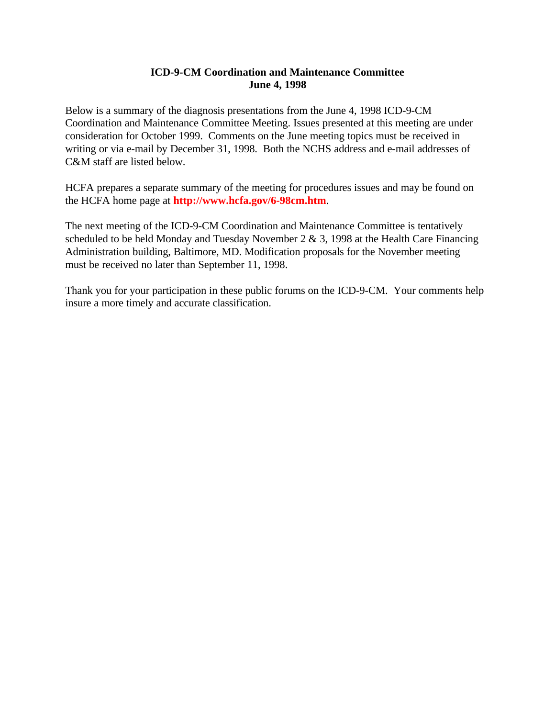# **ICD-9-CM Coordination and Maintenance Committee June 4, 1998**

Below is a summary of the diagnosis presentations from the June 4, 1998 ICD-9-CM Coordination and Maintenance Committee Meeting. Issues presented at this meeting are under consideration for October 1999. Comments on the June meeting topics must be received in writing or via e-mail by December 31, 1998. Both the NCHS address and e-mail addresses of C&M staff are listed below.

HCFA prepares a separate summary of the meeting for procedures issues and may be found on the HCFA home page at **<http://www.hcfa.gov/6-98cm.htm>**.

The next meeting of the ICD-9-CM Coordination and Maintenance Committee is tentatively scheduled to be held Monday and Tuesday November 2 & 3, 1998 at the Health Care Financing Administration building, Baltimore, MD. Modification proposals for the November meeting must be received no later than September 11, 1998.

Thank you for your participation in these public forums on the ICD-9-CM. Your comments help insure a more timely and accurate classification.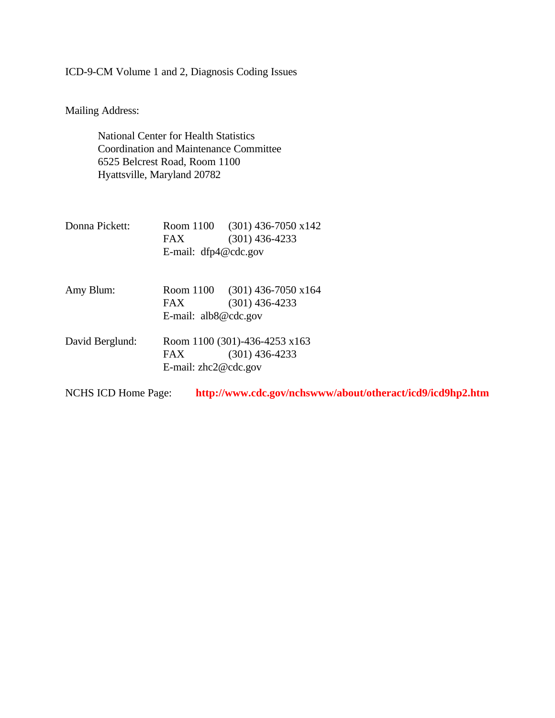ICD-9-CM Volume 1 and 2, Diagnosis Coding Issues

Mailing Address:

National Center for Health Statistics Coordination and Maintenance Committee 6525 Belcrest Road, Room 1100 Hyattsville, Maryland 20782

| Donna Pickett:             | Room 1100                     | $(301)$ 436-7050 x142                                      |
|----------------------------|-------------------------------|------------------------------------------------------------|
|                            | FAX                           | $(301)$ 436-4233                                           |
|                            | E-mail: $dfp4@cdc.gov$        |                                                            |
| Amy Blum:                  | Room 1100                     | $(301)$ 436-7050 x164                                      |
|                            | FAX.                          | $(301)$ 436-4233                                           |
|                            | E-mail: $alb8@cdc.gov$        |                                                            |
| David Berglund:            | Room 1100 (301)-436-4253 x163 |                                                            |
|                            | FAX.                          | $(301)$ 436-4233                                           |
|                            | E-mail: $zhc2@cdc.gov$        |                                                            |
| <b>NCHS ICD Home Page:</b> |                               | http://www.cdc.gov/nchswww/about/otheract/icd9/icd9hp2.htm |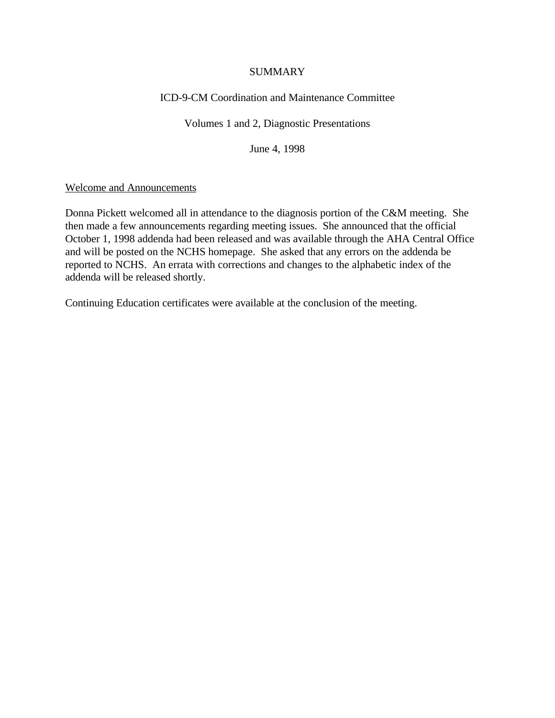### **SUMMARY**

# ICD-9-CM Coordination and Maintenance Committee

## Volumes 1 and 2, Diagnostic Presentations

June 4, 1998

### Welcome and Announcements

Donna Pickett welcomed all in attendance to the diagnosis portion of the C&M meeting. She then made a few announcements regarding meeting issues. She announced that the official October 1, 1998 addenda had been released and was available through the AHA Central Office and will be posted on the NCHS homepage. She asked that any errors on the addenda be reported to NCHS. An errata with corrections and changes to the alphabetic index of the addenda will be released shortly.

Continuing Education certificates were available at the conclusion of the meeting.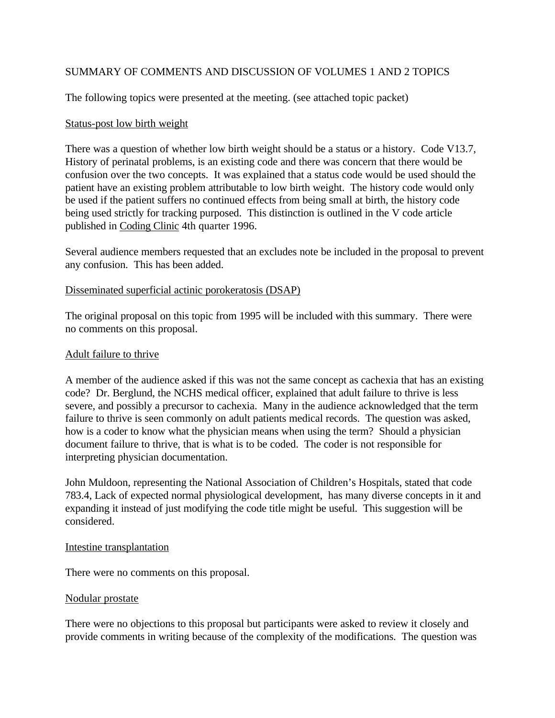# SUMMARY OF COMMENTS AND DISCUSSION OF VOLUMES 1 AND 2 TOPICS

The following topics were presented at the meeting. (see attached topic packet)

### Status-post low birth weight

There was a question of whether low birth weight should be a status or a history. Code V13.7, History of perinatal problems, is an existing code and there was concern that there would be confusion over the two concepts. It was explained that a status code would be used should the patient have an existing problem attributable to low birth weight. The history code would only be used if the patient suffers no continued effects from being small at birth, the history code being used strictly for tracking purposed. This distinction is outlined in the V code article published in Coding Clinic 4th quarter 1996.

Several audience members requested that an excludes note be included in the proposal to prevent any confusion. This has been added.

### Disseminated superficial actinic porokeratosis (DSAP)

The original proposal on this topic from 1995 will be included with this summary. There were no comments on this proposal.

### Adult failure to thrive

A member of the audience asked if this was not the same concept as cachexia that has an existing code? Dr. Berglund, the NCHS medical officer, explained that adult failure to thrive is less severe, and possibly a precursor to cachexia. Many in the audience acknowledged that the term failure to thrive is seen commonly on adult patients medical records. The question was asked, how is a coder to know what the physician means when using the term? Should a physician document failure to thrive, that is what is to be coded. The coder is not responsible for interpreting physician documentation.

John Muldoon, representing the National Association of Children's Hospitals, stated that code 783.4, Lack of expected normal physiological development, has many diverse concepts in it and expanding it instead of just modifying the code title might be useful. This suggestion will be considered.

#### Intestine transplantation

There were no comments on this proposal.

#### Nodular prostate

There were no objections to this proposal but participants were asked to review it closely and provide comments in writing because of the complexity of the modifications. The question was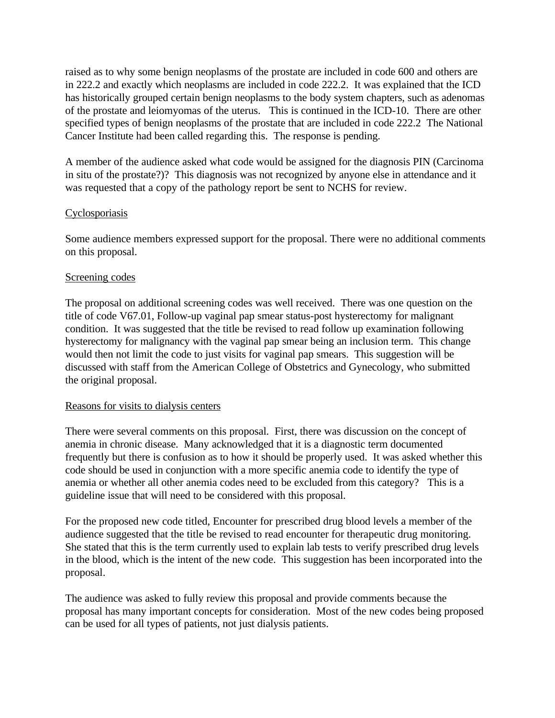raised as to why some benign neoplasms of the prostate are included in code 600 and others are in 222.2 and exactly which neoplasms are included in code 222.2. It was explained that the ICD has historically grouped certain benign neoplasms to the body system chapters, such as adenomas of the prostate and leiomyomas of the uterus. This is continued in the ICD-10. There are other specified types of benign neoplasms of the prostate that are included in code 222.2 The National Cancer Institute had been called regarding this. The response is pending.

A member of the audience asked what code would be assigned for the diagnosis PIN (Carcinoma in situ of the prostate?)? This diagnosis was not recognized by anyone else in attendance and it was requested that a copy of the pathology report be sent to NCHS for review.

## **Cyclosporiasis**

Some audience members expressed support for the proposal. There were no additional comments on this proposal.

## Screening codes

The proposal on additional screening codes was well received. There was one question on the title of code V67.01, Follow-up vaginal pap smear status-post hysterectomy for malignant condition. It was suggested that the title be revised to read follow up examination following hysterectomy for malignancy with the vaginal pap smear being an inclusion term. This change would then not limit the code to just visits for vaginal pap smears. This suggestion will be discussed with staff from the American College of Obstetrics and Gynecology, who submitted the original proposal.

## Reasons for visits to dialysis centers

There were several comments on this proposal. First, there was discussion on the concept of anemia in chronic disease. Many acknowledged that it is a diagnostic term documented frequently but there is confusion as to how it should be properly used. It was asked whether this code should be used in conjunction with a more specific anemia code to identify the type of anemia or whether all other anemia codes need to be excluded from this category? This is a guideline issue that will need to be considered with this proposal.

For the proposed new code titled, Encounter for prescribed drug blood levels a member of the audience suggested that the title be revised to read encounter for therapeutic drug monitoring. She stated that this is the term currently used to explain lab tests to verify prescribed drug levels in the blood, which is the intent of the new code. This suggestion has been incorporated into the proposal.

The audience was asked to fully review this proposal and provide comments because the proposal has many important concepts for consideration. Most of the new codes being proposed can be used for all types of patients, not just dialysis patients.